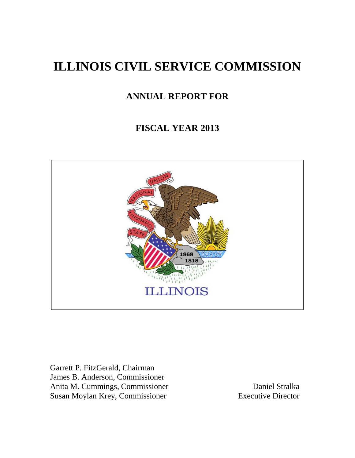# **ILLINOIS CIVIL SERVICE COMMISSION**

## **ANNUAL REPORT FOR**

## **FISCAL YEAR 2013**



Garrett P. FitzGerald, Chairman James B. Anderson, Commissioner Anita M. Cummings, Commissioner Daniel Stralka Susan Moylan Krey, Commissioner Executive Director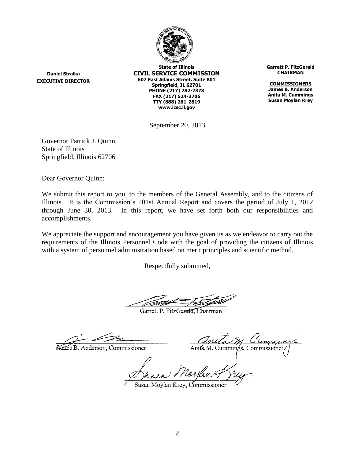

**Daniel Stralka EXECUTIVE DIRECTOR**

**State of Illinois CIVIL SERVICE COMMISSION 607 East Adams Street, Suite 801 Springfield, IL 62701 PHONE (217) 782-7373 FAX (217) 524-3706 TTY (888) 261-2819 www.icsc.il.gov**

**Garrett P. FitzGerald CHAIRMAN**

**COMMISSIONERS James B. Anderson Anita M. Cummings Susan Moylan Krey**

September 20, 2013

Governor Patrick J. Quinn State of Illinois Springfield, Illinois 62706

Dear Governor Quinn:

We submit this report to you, to the members of the General Assembly, and to the citizens of Illinois. It is the Commission's 101st Annual Report and covers the period of July 1, 2012 through June 30, 2013. In this report, we have set forth both our responsibilities and accomplishments.

We appreciate the support and encouragement you have given us as we endeavor to carry out the requirements of the Illinois Personnel Code with the goal of providing the citizens of Illinois with a system of personnel administration based on merit principles and scientific method.

Respectfully submitted,

Garrett P. FitzGerald, Chairman

James B. Anderson, Commissioner

∖nit⁄a M. Cummin¢s. Commissidneı

usan Moylan Krey, Commissioner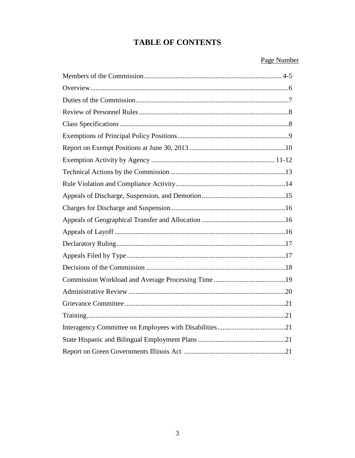## **TABLE OF CONTENTS**

## Page Number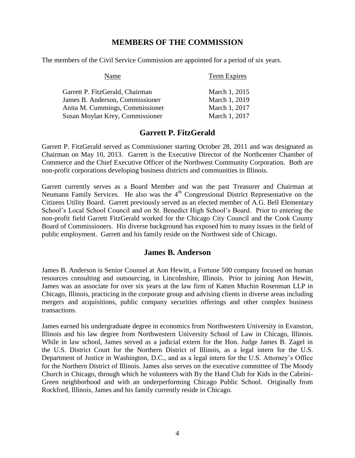### **MEMBERS OF THE COMMISSION**

The members of the Civil Service Commission are appointed for a period of six years.

| Name                            | Term Expires  |
|---------------------------------|---------------|
| Garrett P. FitzGerald, Chairman | March 1, 2015 |
| James B. Anderson, Commissioner | March 1, 2019 |
| Anita M. Cummings, Commissioner | March 1, 2017 |
| Susan Moylan Krey, Commissioner | March 1, 2017 |

## **Garrett P. FitzGerald**

Garrett P. FitzGerald served as Commissioner starting October 28, 2011 and was designated as Chairman on May 10, 2013. Garrett is the Executive Director of the Northcenter Chamber of Commerce and the Chief Executive Officer of the Northwest Community Corporation. Both are non-profit corporations developing business districts and communities in Illinois.

Garrett currently serves as a Board Member and was the past Treasurer and Chairman at Neumann Family Services. He also was the 4<sup>th</sup> Congressional District Representative on the Citizens Utility Board. Garrett previously served as an elected member of A.G. Bell Elementary School's Local School Council and on St. Benedict High School's Board. Prior to entering the non-profit field Garrett FitzGerald worked for the Chicago City Council and the Cook County Board of Commissioners. His diverse background has exposed him to many issues in the field of public employment. Garrett and his family reside on the Northwest side of Chicago.

### **James B. Anderson**

James B. Anderson is Senior Counsel at Aon Hewitt, a Fortune 500 company focused on human resources consulting and outsourcing, in Lincolnshire, Illinois. Prior to joining Aon Hewitt, James was an associate for over six years at the law firm of Katten Muchin Rosenman LLP in Chicago, Illinois, practicing in the corporate group and advising clients in diverse areas including mergers and acquisitions, public company securities offerings and other complex business transactions.

James earned his undergraduate degree in economics from Northwestern University in Evanston, Illinois and his law degree from Northwestern University School of Law in Chicago, Illinois. While in law school, James served as a judicial extern for the Hon. Judge James B. Zagel in the U.S. District Court for the Northern District of Illinois, as a legal intern for the U.S. Department of Justice in Washington, D.C., and as a legal intern for the U.S. Attorney's Office for the Northern District of Illinois. James also serves on the executive committee of The Moody Church in Chicago, through which he volunteers with By the Hand Club for Kids in the Cabrini-Green neighborhood and with an underperforming Chicago Public School. Originally from Rockford, Illinois, James and his family currently reside in Chicago.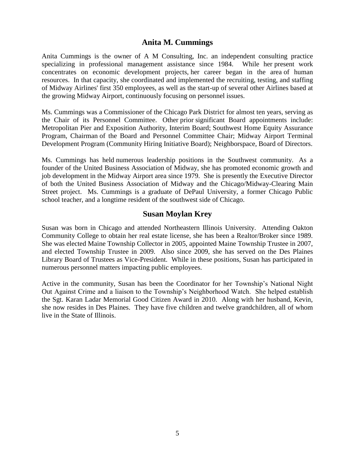### **Anita M. Cummings**

Anita Cummings is the owner of A M Consulting, Inc. an independent consulting practice specializing in professional management assistance since 1984. While her present work concentrates on economic development projects, her career began in the area of human resources. In that capacity, she coordinated and implemented the recruiting, testing, and staffing of Midway Airlines' first 350 employees, as well as the start-up of several other Airlines based at the growing Midway Airport, continuously focusing on personnel issues.

Ms. Cummings was a Commissioner of the Chicago Park District for almost ten years, serving as the Chair of its Personnel Committee. Other prior significant Board appointments include: Metropolitan Pier and Exposition Authority, Interim Board; Southwest Home Equity Assurance Program, Chairman of the Board and Personnel Committee Chair; Midway Airport Terminal Development Program (Community Hiring Initiative Board); Neighborspace, Board of Directors.

Ms. Cummings has held numerous leadership positions in the Southwest community. As a founder of the United Business Association of Midway, she has promoted economic growth and job development in the Midway Airport area since 1979. She is presently the Executive Director of both the United Business Association of Midway and the Chicago/Midway-Clearing Main Street project. Ms. Cummings is a graduate of DePaul University, a former Chicago Public school teacher, and a longtime resident of the southwest side of Chicago.

#### **Susan Moylan Krey**

Susan was born in Chicago and attended Northeastern Illinois University. Attending Oakton Community College to obtain her real estate license, she has been a Realtor/Broker since 1989. She was elected Maine Township Collector in 2005, appointed Maine Township Trustee in 2007, and elected Township Trustee in 2009. Also since 2009, she has served on the Des Plaines Library Board of Trustees as Vice-President. While in these positions, Susan has participated in numerous personnel matters impacting public employees.

Active in the community, Susan has been the Coordinator for her Township's National Night Out Against Crime and a liaison to the Township's Neighborhood Watch. She helped establish the Sgt. Karan Ladar Memorial Good Citizen Award in 2010. Along with her husband, Kevin, she now resides in Des Plaines. They have five children and twelve grandchildren, all of whom live in the State of Illinois.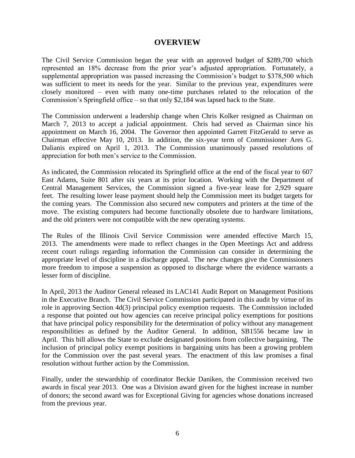#### **OVERVIEW**

The Civil Service Commission began the year with an approved budget of \$289,700 which represented an 18% decrease from the prior year's adjusted appropriation. Fortunately, a supplemental appropriation was passed increasing the Commission's budget to \$378,500 which was sufficient to meet its needs for the year. Similar to the previous year, expenditures were closely monitored – even with many one-time purchases related to the relocation of the Commission's Springfield office – so that only \$2,184 was lapsed back to the State.

The Commission underwent a leadership change when Chris Kolker resigned as Chairman on March 7, 2013 to accept a judicial appointment. Chris had served as Chairman since his appointment on March 16, 2004. The Governor then appointed Garrett FitzGerald to serve as Chairman effective May 10, 2013. In addition, the six-year term of Commissioner Ares G. Dalianis expired on April 1, 2013. The Commission unanimously passed resolutions of appreciation for both men's service to the Commission.

As indicated, the Commission relocated its Springfield office at the end of the fiscal year to 607 East Adams, Suite 801 after six years at its prior location. Working with the Department of Central Management Services, the Commission signed a five-year lease for 2,929 square feet. The resulting lower lease payment should help the Commission meet its budget targets for the coming years. The Commission also secured new computers and printers at the time of the move. The existing computers had become functionally obsolete due to hardware limitations, and the old printers were not compatible with the new operating systems.

The Rules of the Illinois Civil Service Commission were amended effective March 15, 2013. The amendments were made to reflect changes in the Open Meetings Act and address recent court rulings regarding information the Commission can consider in determining the appropriate level of discipline in a discharge appeal. The new changes give the Commissioners more freedom to impose a suspension as opposed to discharge where the evidence warrants a lesser form of discipline.

In April, 2013 the Auditor General released its LAC141 Audit Report on Management Positions in the Executive Branch. The Civil Service Commission participated in this audit by virtue of its role in approving Section 4d(3) principal policy exemption requests. The Commission included a response that pointed out how agencies can receive principal policy exemptions for positions that have principal policy responsibility for the determination of policy without any management responsibilities as defined by the Auditor General. In addition, SB1556 became law in April. This bill allows the State to exclude designated positions from collective bargaining. The inclusion of principal policy exempt positions in bargaining units has been a growing problem for the Commission over the past several years. The enactment of this law promises a final resolution without further action by the Commission.

Finally, under the stewardship of coordinator Beckie Daniken, the Commission received two awards in fiscal year 2013. One was a Division award given for the highest increase in number of donors; the second award was for Exceptional Giving for agencies whose donations increased from the previous year.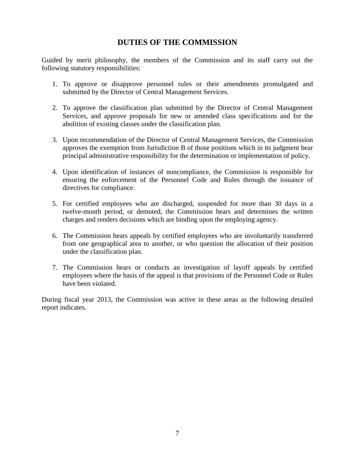## **DUTIES OF THE COMMISSION**

Guided by merit philosophy, the members of the Commission and its staff carry out the following statutory responsibilities:

- 1. To approve or disapprove personnel rules or their amendments promulgated and submitted by the Director of Central Management Services.
- 2. To approve the classification plan submitted by the Director of Central Management Services, and approve proposals for new or amended class specifications and for the abolition of existing classes under the classification plan.
- 3. Upon recommendation of the Director of Central Management Services, the Commission approves the exemption from Jurisdiction B of those positions which in its judgment bear principal administrative responsibility for the determination or implementation of policy.
- 4. Upon identification of instances of noncompliance, the Commission is responsible for ensuring the enforcement of the Personnel Code and Rules through the issuance of directives for compliance.
- 5. For certified employees who are discharged, suspended for more than 30 days in a twelve-month period, or demoted, the Commission hears and determines the written charges and renders decisions which are binding upon the employing agency.
- 6. The Commission hears appeals by certified employees who are involuntarily transferred from one geographical area to another, or who question the allocation of their position under the classification plan.
- 7. The Commission hears or conducts an investigation of layoff appeals by certified employees where the basis of the appeal is that provisions of the Personnel Code or Rules have been violated.

During fiscal year 2013, the Commission was active in these areas as the following detailed report indicates.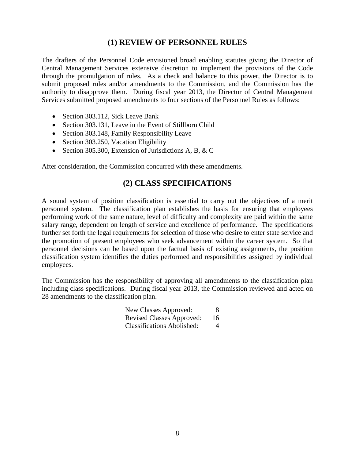### **(1) REVIEW OF PERSONNEL RULES**

The drafters of the Personnel Code envisioned broad enabling statutes giving the Director of Central Management Services extensive discretion to implement the provisions of the Code through the promulgation of rules. As a check and balance to this power, the Director is to submit proposed rules and/or amendments to the Commission, and the Commission has the authority to disapprove them. During fiscal year 2013, the Director of Central Management Services submitted proposed amendments to four sections of the Personnel Rules as follows:

- Section 303.112, Sick Leave Bank
- Section 303.131, Leave in the Event of Stillborn Child
- Section 303.148, Family Responsibility Leave
- Section 303.250, Vacation Eligibility
- Section 305.300, Extension of Jurisdictions A, B, & C

After consideration, the Commission concurred with these amendments.

### **(2) CLASS SPECIFICATIONS**

A sound system of position classification is essential to carry out the objectives of a merit personnel system. The classification plan establishes the basis for ensuring that employees performing work of the same nature, level of difficulty and complexity are paid within the same salary range, dependent on length of service and excellence of performance. The specifications further set forth the legal requirements for selection of those who desire to enter state service and the promotion of present employees who seek advancement within the career system. So that personnel decisions can be based upon the factual basis of existing assignments, the position classification system identifies the duties performed and responsibilities assigned by individual employees.

The Commission has the responsibility of approving all amendments to the classification plan including class specifications. During fiscal year 2013, the Commission reviewed and acted on 28 amendments to the classification plan.

| New Classes Approved:             | 8  |
|-----------------------------------|----|
| <b>Revised Classes Approved:</b>  | 16 |
| <b>Classifications Abolished:</b> | 4  |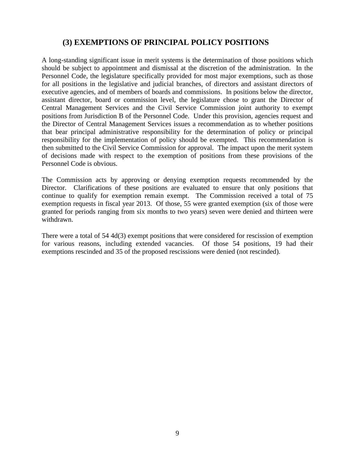## **(3) EXEMPTIONS OF PRINCIPAL POLICY POSITIONS**

A long-standing significant issue in merit systems is the determination of those positions which should be subject to appointment and dismissal at the discretion of the administration. In the Personnel Code, the legislature specifically provided for most major exemptions, such as those for all positions in the legislative and judicial branches, of directors and assistant directors of executive agencies, and of members of boards and commissions. In positions below the director, assistant director, board or commission level, the legislature chose to grant the Director of Central Management Services and the Civil Service Commission joint authority to exempt positions from Jurisdiction B of the Personnel Code. Under this provision, agencies request and the Director of Central Management Services issues a recommendation as to whether positions that bear principal administrative responsibility for the determination of policy or principal responsibility for the implementation of policy should be exempted. This recommendation is then submitted to the Civil Service Commission for approval. The impact upon the merit system of decisions made with respect to the exemption of positions from these provisions of the Personnel Code is obvious.

The Commission acts by approving or denying exemption requests recommended by the Director. Clarifications of these positions are evaluated to ensure that only positions that continue to qualify for exemption remain exempt. The Commission received a total of 75 exemption requests in fiscal year 2013. Of those, 55 were granted exemption (six of those were granted for periods ranging from six months to two years) seven were denied and thirteen were withdrawn.

There were a total of 54 4d(3) exempt positions that were considered for rescission of exemption for various reasons, including extended vacancies. Of those 54 positions, 19 had their exemptions rescinded and 35 of the proposed rescissions were denied (not rescinded).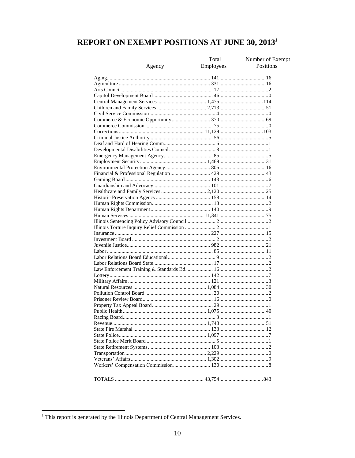## REPORT ON EXEMPT POSITIONS AT JUNE 30, 2013<sup>1</sup>

| Agency | Total<br>Employees | Number of Exempt<br>Positions |
|--------|--------------------|-------------------------------|
|        |                    |                               |
|        |                    |                               |
|        |                    |                               |
|        |                    |                               |
|        |                    |                               |
|        |                    |                               |
|        |                    |                               |
|        |                    |                               |
|        |                    |                               |
|        |                    |                               |
|        |                    |                               |
|        |                    |                               |
|        |                    |                               |
|        |                    |                               |
|        |                    |                               |
|        |                    |                               |
|        |                    |                               |
|        |                    |                               |
|        |                    |                               |
|        |                    |                               |
|        |                    |                               |
|        |                    |                               |
|        |                    |                               |
|        |                    |                               |
|        |                    |                               |
|        |                    |                               |
|        |                    |                               |
|        |                    |                               |
|        |                    |                               |
|        |                    |                               |
|        |                    |                               |
|        |                    |                               |
|        |                    |                               |
|        |                    |                               |
|        |                    |                               |
|        |                    |                               |
|        |                    |                               |
|        |                    |                               |
|        |                    |                               |
|        |                    |                               |
|        |                    |                               |
|        |                    |                               |
|        |                    |                               |
|        |                    |                               |
|        |                    |                               |
|        |                    |                               |
|        |                    |                               |
|        |                    |                               |
|        |                    |                               |
|        |                    |                               |
|        |                    |                               |
|        |                    |                               |

<sup>&</sup>lt;sup>1</sup>This report is generated by the Illinois Department of Central Management Services.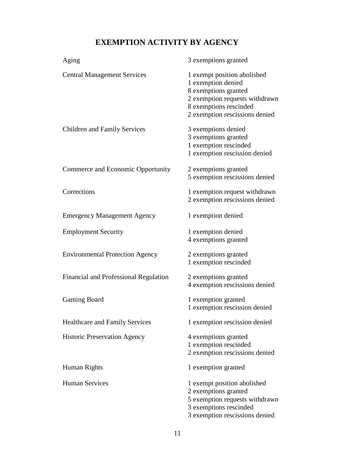## **EXEMPTION ACTIVITY BY AGENCY**

| Aging                                  | 3 exemptions granted                                                                                                                                                    |
|----------------------------------------|-------------------------------------------------------------------------------------------------------------------------------------------------------------------------|
| <b>Central Management Services</b>     | 1 exempt position abolished<br>1 exemption denied<br>8 exemptions granted<br>2 exemption requests withdrawn<br>8 exemptions rescinded<br>2 exemption rescissions denied |
| <b>Children and Family Services</b>    | 3 exemptions denied<br>3 exemptions granted<br>1 exemption rescinded<br>1 exemption rescission denied                                                                   |
| Commerce and Economic Opportunity      | 2 exemptions granted<br>5 exemption rescissions denied                                                                                                                  |
| Corrections                            | 1 exemption request withdrawn<br>2 exemption rescissions denied                                                                                                         |
| <b>Emergency Management Agency</b>     | 1 exemption denied                                                                                                                                                      |
| <b>Employment Security</b>             | 1 exemption denied<br>4 exemptions granted                                                                                                                              |
| <b>Environmental Protection Agency</b> | 2 exemptions granted<br>1 exemption rescinded                                                                                                                           |
| Financial and Professional Regulation  | 2 exemptions granted<br>4 exemption rescissions denied                                                                                                                  |
| Gaming Board                           | 1 exemption granted<br>1 exemption rescission denied                                                                                                                    |
| Healthcare and Family Services         | 1 exemption rescission denied                                                                                                                                           |
| <b>Historic Preservation Agency</b>    | 4 exemptions granted<br>1 exemption rescinded<br>2 exemption rescissions denied                                                                                         |
| Human Rights                           | 1 exemption granted                                                                                                                                                     |
| <b>Human Services</b>                  | 1 exempt position abolished<br>2 exemptions granted<br>5 exemption requests withdrawn<br>3 exemptions rescinded<br>3 exemption rescissions denied                       |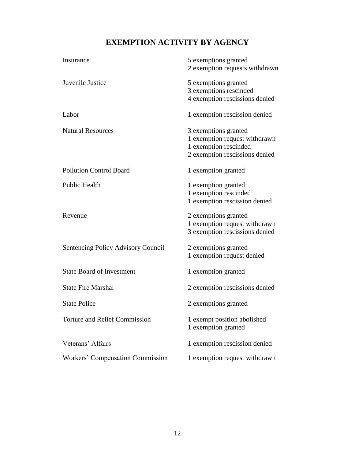## **EXEMPTION ACTIVITY BY AGENCY**

| Insurance                                 | 5 exemptions granted           |
|-------------------------------------------|--------------------------------|
|                                           | 2 exemption requests withdrawn |
| Juvenile Justice                          | 5 exemptions granted           |
|                                           | 3 exemptions rescinded         |
|                                           | 4 exemption rescissions denied |
| Labor                                     | 1 exemption rescission denied  |
| <b>Natural Resources</b>                  | 3 exemptions granted           |
|                                           | 1 exemption request withdrawn  |
|                                           | 1 exemption rescinded          |
|                                           | 2 exemption rescissions denied |
| <b>Pollution Control Board</b>            | 1 exemption granted            |
| <b>Public Health</b>                      | 1 exemption granted            |
|                                           | 1 exemption rescinded          |
|                                           | 1 exemption rescission denied  |
| Revenue                                   | 2 exemptions granted           |
|                                           | 1 exemption request withdrawn  |
|                                           | 3 exemption rescissions denied |
| <b>Sentencing Policy Advisory Council</b> | 2 exemptions granted           |
|                                           | 1 exemption request denied     |
| <b>State Board of Investment</b>          | 1 exemption granted            |
| <b>State Fire Marshal</b>                 | 2 exemption rescissions denied |
| <b>State Police</b>                       | 2 exemptions granted           |
| <b>Torture and Relief Commission</b>      | 1 exempt position abolished    |
|                                           | 1 exemption granted            |
| Veterans' Affairs                         | 1 exemption rescission denied  |
| Workers' Compensation Commission          | 1 exemption request withdrawn  |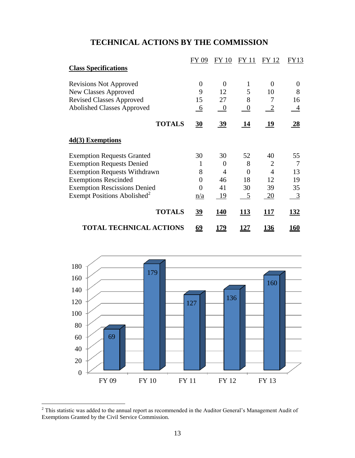## **TECHNICAL ACTIONS BY THE COMMISSION**

|                                         | FY<br>09         | <b>FY 10</b> | FY 11            | FY 12        | FY13        |
|-----------------------------------------|------------------|--------------|------------------|--------------|-------------|
| <b>Class Specifications</b>             |                  |              |                  |              |             |
| <b>Revisions Not Approved</b>           | 0                | $\Omega$     | 1                | $\Omega$     | $\theta$    |
| New Classes Approved                    | 9                | 12           | 5                | 10           | 8           |
| <b>Revised Classes Approved</b>         | 15               | 27           | 8                | 7            | 16          |
| <b>Abolished Classes Approved</b>       | 6                | $\theta$     | $\boldsymbol{0}$ | $\mathbf{2}$ | 4           |
| <b>TOTALS</b>                           | $\overline{30}$  | <u>39</u>    | 14               | 19           | 28          |
| 4d(3) Exemptions                        |                  |              |                  |              |             |
| <b>Exemption Requests Granted</b>       | 30               | 30           | 52               | 40           | 55          |
| <b>Exemption Requests Denied</b>        | 1                | $\Omega$     | 8                | 2            |             |
| <b>Exemption Requests Withdrawn</b>     | 8                | 4            | 0                | 4            | 13          |
| <b>Exemptions Rescinded</b>             | $\boldsymbol{0}$ | 46           | 18               | 12           | 19          |
| <b>Exemption Rescissions Denied</b>     | 0                | 41           | 30               | 39           | 35          |
| Exempt Positions Abolished <sup>2</sup> | n/a              | -19          | $5\phantom{0}$   | <u>20</u>    | 3           |
| <b>TOTALS</b>                           | <u>39</u>        | 140          | 113              | 117          | <u>132</u>  |
| <b>TOTAL TECHNICAL ACTIONS</b>          | <u>69</u>        | <u> 179</u>  | <u> 127</u>      | <u> 136</u>  | <u> 160</u> |



 $2$  This statistic was added to the annual report as recommended in the Auditor General's Management Audit of Exemptions Granted by the Civil Service Commission.

 $\overline{a}$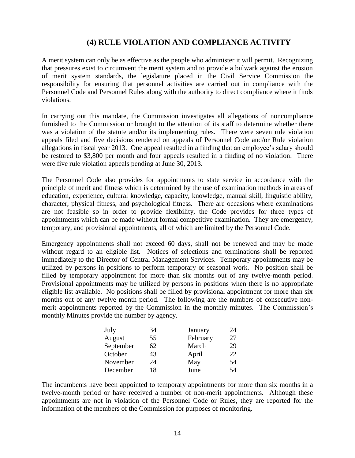## **(4) RULE VIOLATION AND COMPLIANCE ACTIVITY**

A merit system can only be as effective as the people who administer it will permit. Recognizing that pressures exist to circumvent the merit system and to provide a bulwark against the erosion of merit system standards, the legislature placed in the Civil Service Commission the responsibility for ensuring that personnel activities are carried out in compliance with the Personnel Code and Personnel Rules along with the authority to direct compliance where it finds violations.

In carrying out this mandate, the Commission investigates all allegations of noncompliance furnished to the Commission or brought to the attention of its staff to determine whether there was a violation of the statute and/or its implementing rules. There were seven rule violation appeals filed and five decisions rendered on appeals of Personnel Code and/or Rule violation allegations in fiscal year 2013. One appeal resulted in a finding that an employee's salary should be restored to \$3,800 per month and four appeals resulted in a finding of no violation. There were five rule violation appeals pending at June 30, 2013.

The Personnel Code also provides for appointments to state service in accordance with the principle of merit and fitness which is determined by the use of examination methods in areas of education, experience, cultural knowledge, capacity, knowledge, manual skill, linguistic ability, character, physical fitness, and psychological fitness. There are occasions where examinations are not feasible so in order to provide flexibility, the Code provides for three types of appointments which can be made without formal competitive examination. They are emergency, temporary, and provisional appointments, all of which are limited by the Personnel Code.

Emergency appointments shall not exceed 60 days, shall not be renewed and may be made without regard to an eligible list. Notices of selections and terminations shall be reported immediately to the Director of Central Management Services. Temporary appointments may be utilized by persons in positions to perform temporary or seasonal work. No position shall be filled by temporary appointment for more than six months out of any twelve-month period. Provisional appointments may be utilized by persons in positions when there is no appropriate eligible list available. No positions shall be filled by provisional appointment for more than six months out of any twelve month period. The following are the numbers of consecutive nonmerit appointments reported by the Commission in the monthly minutes. The Commission's monthly Minutes provide the number by agency.

| July      | 34 | January  | 24 |
|-----------|----|----------|----|
| August    | 55 | February | 27 |
| September | 62 | March    | 29 |
| October   | 43 | April    | 22 |
| November  | 24 | May      | 54 |
| December  | 18 | June     | 54 |

The incumbents have been appointed to temporary appointments for more than six months in a twelve-month period or have received a number of non-merit appointments. Although these appointments are not in violation of the Personnel Code or Rules, they are reported for the information of the members of the Commission for purposes of monitoring.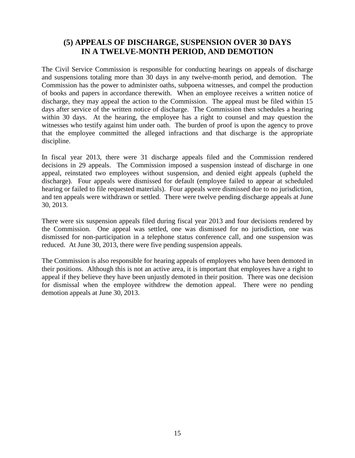## **(5) APPEALS OF DISCHARGE, SUSPENSION OVER 30 DAYS IN A TWELVE-MONTH PERIOD, AND DEMOTION**

The Civil Service Commission is responsible for conducting hearings on appeals of discharge and suspensions totaling more than 30 days in any twelve-month period, and demotion. The Commission has the power to administer oaths, subpoena witnesses, and compel the production of books and papers in accordance therewith. When an employee receives a written notice of discharge, they may appeal the action to the Commission. The appeal must be filed within 15 days after service of the written notice of discharge. The Commission then schedules a hearing within 30 days. At the hearing, the employee has a right to counsel and may question the witnesses who testify against him under oath. The burden of proof is upon the agency to prove that the employee committed the alleged infractions and that discharge is the appropriate discipline.

In fiscal year 2013, there were 31 discharge appeals filed and the Commission rendered decisions in 29 appeals. The Commission imposed a suspension instead of discharge in one appeal, reinstated two employees without suspension, and denied eight appeals (upheld the discharge). Four appeals were dismissed for default (employee failed to appear at scheduled hearing or failed to file requested materials). Four appeals were dismissed due to no jurisdiction, and ten appeals were withdrawn or settled. There were twelve pending discharge appeals at June 30, 2013.

There were six suspension appeals filed during fiscal year 2013 and four decisions rendered by the Commission. One appeal was settled, one was dismissed for no jurisdiction, one was dismissed for non-participation in a telephone status conference call, and one suspension was reduced. At June 30, 2013, there were five pending suspension appeals.

The Commission is also responsible for hearing appeals of employees who have been demoted in their positions. Although this is not an active area, it is important that employees have a right to appeal if they believe they have been unjustly demoted in their position. There was one decision for dismissal when the employee withdrew the demotion appeal. There were no pending demotion appeals at June 30, 2013.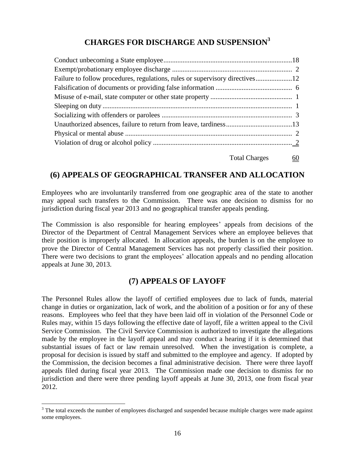## **CHARGES FOR DISCHARGE AND SUSPENSION<sup>3</sup>**

#### Total Charges 60

## **(6) APPEALS OF GEOGRAPHICAL TRANSFER AND ALLOCATION**

Employees who are involuntarily transferred from one geographic area of the state to another may appeal such transfers to the Commission. There was one decision to dismiss for no jurisdiction during fiscal year 2013 and no geographical transfer appeals pending.

The Commission is also responsible for hearing employees' appeals from decisions of the Director of the Department of Central Management Services where an employee believes that their position is improperly allocated. In allocation appeals, the burden is on the employee to prove the Director of Central Management Services has not properly classified their position. There were two decisions to grant the employees' allocation appeals and no pending allocation appeals at June 30, 2013.

## **(7) APPEALS OF LAYOFF**

The Personnel Rules allow the layoff of certified employees due to lack of funds, material change in duties or organization, lack of work, and the abolition of a position or for any of these reasons. Employees who feel that they have been laid off in violation of the Personnel Code or Rules may, within 15 days following the effective date of layoff, file a written appeal to the Civil Service Commission. The Civil Service Commission is authorized to investigate the allegations made by the employee in the layoff appeal and may conduct a hearing if it is determined that substantial issues of fact or law remain unresolved. When the investigation is complete, a proposal for decision is issued by staff and submitted to the employee and agency. If adopted by the Commission, the decision becomes a final administrative decision. There were three layoff appeals filed during fiscal year 2013. The Commission made one decision to dismiss for no jurisdiction and there were three pending layoff appeals at June 30, 2013, one from fiscal year 2012.

 $\overline{a}$ 

<sup>&</sup>lt;sup>3</sup> The total exceeds the number of employees discharged and suspended because multiple charges were made against some employees.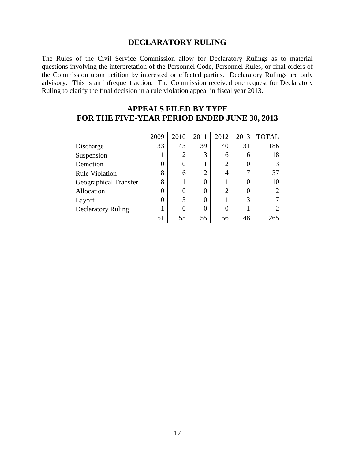### **DECLARATORY RULING**

The Rules of the Civil Service Commission allow for Declaratory Rulings as to material questions involving the interpretation of the Personnel Code, Personnel Rules, or final orders of the Commission upon petition by interested or effected parties. Declaratory Rulings are only advisory. This is an infrequent action. The Commission received one request for Declaratory Ruling to clarify the final decision in a rule violation appeal in fiscal year 2013.

## **APPEALS FILED BY TYPE FOR THE FIVE-YEAR PERIOD ENDED JUNE 30, 2013**

|                           | 2009 | 2010           | 2011 | 2012           | 2013 | <b>TOTAL</b> |
|---------------------------|------|----------------|------|----------------|------|--------------|
| Discharge                 | 33   | 43             | 39   | 40             | 31   | 186          |
| Suspension                |      | $\overline{2}$ | 3    | 6              | 6    | 18           |
| Demotion                  | 0    |                |      | $\overline{2}$ | 0    |              |
| <b>Rule Violation</b>     | 8    | 6              | 12   | 4              | ⇁    | 37           |
| Geographical Transfer     | 8    |                |      |                | 0    | 10           |
| Allocation                | 0    |                |      | $\overline{2}$ | 0    |              |
| Layoff                    | 0    | 3              |      |                | 3    |              |
| <b>Declaratory Ruling</b> |      | 0              |      | 0              |      |              |
|                           | 51   | 55             | 55   | 56             | 48   | 265          |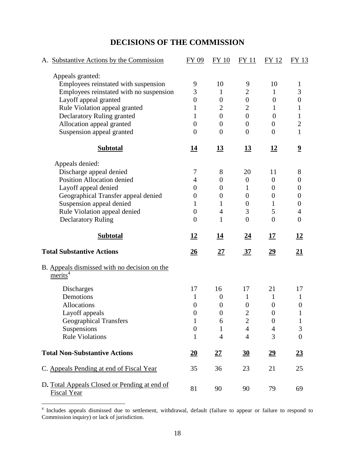## **DECISIONS OF THE COMMISSION**

| A. Substantive Actions by the Commission               | FY 09                        | <b>FY 10</b>     | <b>FY11</b>      | FY 12            | FY 13                   |
|--------------------------------------------------------|------------------------------|------------------|------------------|------------------|-------------------------|
| Appeals granted:                                       |                              |                  |                  |                  |                         |
| Employees reinstated with suspension                   | 9                            | 10               | 9                | 10               | $\mathbf 1$             |
| Employees reinstated with no suspension                | 3                            | $\mathbf{1}$     | $\overline{c}$   | 1                | 3                       |
| Layoff appeal granted                                  | $\boldsymbol{0}$             | $\boldsymbol{0}$ | $\boldsymbol{0}$ | $\boldsymbol{0}$ | $\boldsymbol{0}$        |
| Rule Violation appeal granted                          | 1                            | $\overline{2}$   | $\overline{2}$   | 1                | $\mathbf{1}$            |
| Declaratory Ruling granted                             | 1                            | $\overline{0}$   | $\overline{0}$   | $\boldsymbol{0}$ | $\mathbf{1}$            |
| Allocation appeal granted                              | $\overline{0}$               | $\overline{0}$   | $\overline{0}$   | $\boldsymbol{0}$ | $\overline{2}$          |
| Suspension appeal granted                              | $\theta$                     | $\overline{0}$   | $\overline{0}$   | $\overline{0}$   | $\mathbf{1}$            |
| <b>Subtotal</b>                                        | <u>14</u>                    | <u>13</u>        | <u>13</u>        | <u>12</u>        | $\overline{\mathbf{2}}$ |
| Appeals denied:                                        |                              |                  |                  |                  |                         |
| Discharge appeal denied                                | 7                            | 8                | 20               | 11               | 8                       |
| <b>Position Allocation denied</b>                      | 4                            | $\boldsymbol{0}$ | $\boldsymbol{0}$ | $\overline{0}$   | $\boldsymbol{0}$        |
| Layoff appeal denied                                   | $\overline{0}$               | $\theta$         | 1                | $\boldsymbol{0}$ | 0                       |
| Geographical Transfer appeal denied                    | 0                            | $\overline{0}$   | $\boldsymbol{0}$ | $\boldsymbol{0}$ | $\boldsymbol{0}$        |
| Suspension appeal denied                               | 1                            | 1                | $\boldsymbol{0}$ | 1                | $\boldsymbol{0}$        |
| Rule Violation appeal denied                           | $\overline{0}$               | $\overline{4}$   | 3                | 5                | $\overline{4}$          |
| <b>Declaratory Ruling</b>                              | $\overline{0}$               | $\mathbf{1}$     | $\overline{0}$   | $\overline{0}$   | $\boldsymbol{0}$        |
| <b>Subtotal</b>                                        | 12                           | <u> 14</u>       | <u>24</u>        | 17               | <u>12</u>               |
| <b>Total Substantive Actions</b>                       | <u>26</u>                    | <u>27</u>        | <u>37</u>        | <u>29</u>        | <u>21</u>               |
| B. Appeals dismissed with no decision on the<br>merits |                              |                  |                  |                  |                         |
| Discharges                                             | 17                           | 16               | 17               | 21               | 17                      |
| Demotions                                              |                              |                  |                  |                  |                         |
|                                                        | 1                            | $\boldsymbol{0}$ | $\mathbf{1}$     | $\mathbf{1}$     | 1                       |
| <b>Allocations</b>                                     | $\boldsymbol{0}$             | $\boldsymbol{0}$ | $\boldsymbol{0}$ | $\boldsymbol{0}$ | $\boldsymbol{0}$        |
| Layoff appeals                                         | $\overline{0}$               | $\overline{0}$   | $\overline{2}$   | $\overline{0}$   |                         |
| <b>Geographical Transfers</b>                          | $\mathbf{1}$                 | 6                | $\overline{2}$   | $\boldsymbol{0}$ | $\mathbf{1}$            |
| Suspensions                                            | $\boldsymbol{0}$             | $\mathbf{1}$     | $\overline{4}$   | $\overline{4}$   | 3                       |
| <b>Rule Violations</b>                                 | $\mathbf{1}$                 | $\overline{4}$   | $\overline{4}$   | 3                | $\overline{0}$          |
| <b>Total Non-Substantive Actions</b>                   | $\underline{\underline{20}}$ | $\underline{27}$ | $\underline{30}$ | $\underline{29}$ | $\underline{23}$        |
| C. Appeals Pending at end of Fiscal Year               | 35                           | 36               | 23               | 21               | 25                      |

 4 Includes appeals dismissed due to settlement, withdrawal, default (failure to appear or failure to respond to Commission inquiry) or lack of jurisdiction.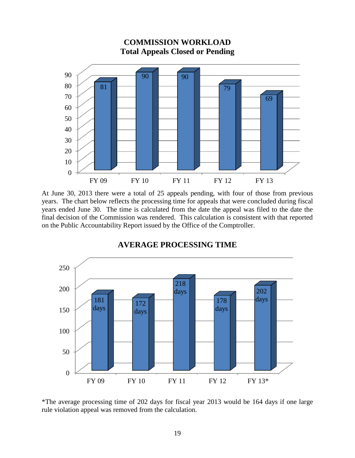

At June 30, 2013 there were a total of 25 appeals pending, with four of those from previous years. The chart below reflects the processing time for appeals that were concluded during fiscal years ended June 30. The time is calculated from the date the appeal was filed to the date the final decision of the Commission was rendered. This calculation is consistent with that reported on the Public Accountability Report issued by the Office of the Comptroller.



### **AVERAGE PROCESSING TIME**

\*The average processing time of 202 days for fiscal year 2013 would be 164 days if one large rule violation appeal was removed from the calculation.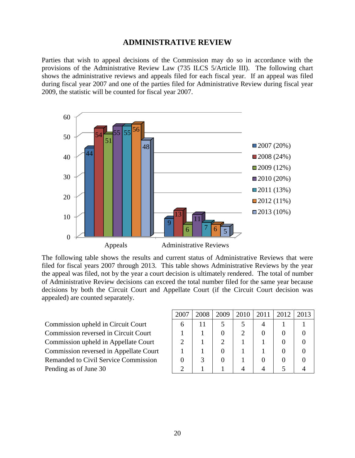#### **ADMINISTRATIVE REVIEW**

Parties that wish to appeal decisions of the Commission may do so in accordance with the provisions of the Administrative Review Law (735 ILCS 5/Article III). The following chart shows the administrative reviews and appeals filed for each fiscal year. If an appeal was filed during fiscal year 2007 and one of the parties filed for Administrative Review during fiscal year 2009, the statistic will be counted for fiscal year 2007.



The following table shows the results and current status of Administrative Reviews that were filed for fiscal years 2007 through 2013. This table shows Administrative Reviews by the year the appeal was filed, not by the year a court decision is ultimately rendered. The total of number of Administrative Review decisions can exceed the total number filed for the same year because decisions by both the Circuit Court and Appellate Court (if the Circuit Court decision was appealed) are counted separately.

Commission upheld in Circuit Court Commission reversed in Circuit Court Commission upheld in Appellate Court Commission reversed in Appellate Court Remanded to Civil Service Commission Pending as of June 30

| 2007 | 2008 | 2009 | 2010 | 2011 | 2012 | 2013 |
|------|------|------|------|------|------|------|
| 6    | 11   | 5    |      |      |      |      |
|      |      | 0    | 2    |      |      |      |
| 2    |      | 2    |      |      |      |      |
|      |      |      |      |      |      |      |
| 0    |      |      |      |      |      |      |
|      |      |      |      |      |      |      |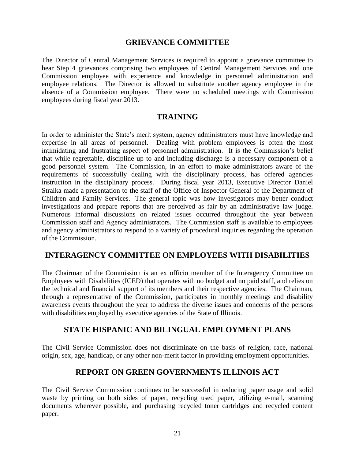#### **GRIEVANCE COMMITTEE**

The Director of Central Management Services is required to appoint a grievance committee to hear Step 4 grievances comprising two employees of Central Management Services and one Commission employee with experience and knowledge in personnel administration and employee relations. The Director is allowed to substitute another agency employee in the absence of a Commission employee. There were no scheduled meetings with Commission employees during fiscal year 2013.

### **TRAINING**

In order to administer the State's merit system, agency administrators must have knowledge and expertise in all areas of personnel. Dealing with problem employees is often the most intimidating and frustrating aspect of personnel administration. It is the Commission's belief that while regrettable, discipline up to and including discharge is a necessary component of a good personnel system. The Commission, in an effort to make administrators aware of the requirements of successfully dealing with the disciplinary process, has offered agencies instruction in the disciplinary process. During fiscal year 2013, Executive Director Daniel Stralka made a presentation to the staff of the Office of Inspector General of the Department of Children and Family Services. The general topic was how investigators may better conduct investigations and prepare reports that are perceived as fair by an administrative law judge. Numerous informal discussions on related issues occurred throughout the year between Commission staff and Agency administrators. The Commission staff is available to employees and agency administrators to respond to a variety of procedural inquiries regarding the operation of the Commission.

### **INTERAGENCY COMMITTEE ON EMPLOYEES WITH DISABILITIES**

The Chairman of the Commission is an ex officio member of the Interagency Committee on Employees with Disabilities (ICED) that operates with no budget and no paid staff, and relies on the technical and financial support of its members and their respective agencies. The Chairman, through a representative of the Commission, participates in monthly meetings and disability awareness events throughout the year to address the diverse issues and concerns of the persons with disabilities employed by executive agencies of the State of Illinois.

### **STATE HISPANIC AND BILINGUAL EMPLOYMENT PLANS**

The Civil Service Commission does not discriminate on the basis of religion, race, national origin, sex, age, handicap, or any other non-merit factor in providing employment opportunities.

### **REPORT ON GREEN GOVERNMENTS ILLINOIS ACT**

The Civil Service Commission continues to be successful in reducing paper usage and solid waste by printing on both sides of paper, recycling used paper, utilizing e-mail, scanning documents wherever possible, and purchasing recycled toner cartridges and recycled content paper.